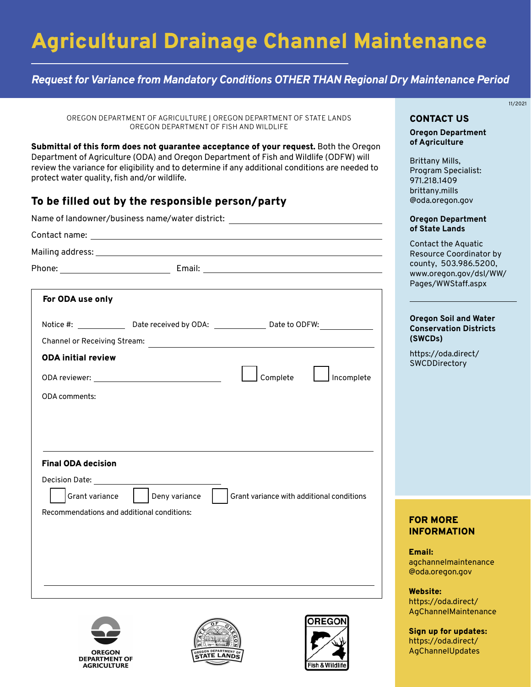# Agricultural Drainage Channel Maintenance

## *Request for Variance from Mandatory Conditions OTHER THAN Regional Dry Maintenance Period*

OREGON DEPARTMENT OF AGRICULTURE | OREGON DEPARTMENT OF STATE LANDS OREGON DEPARTMENT OF FISH AND WILDLIFE

Submittal of this form does not guarantee acceptance of your request. Both the Oregon Department of Agriculture (ODA) and Oregon Department of Fish and Wildlife (ODFW) will review the variance for eligibility and to determine if any additional conditions are needed to protect water quality, fish and/or wildlife.

## To be filled out by the responsible person/party

|                              | Name of landowner/business name/water district: ________________________________ |                                                                                                      |            |  |
|------------------------------|----------------------------------------------------------------------------------|------------------------------------------------------------------------------------------------------|------------|--|
|                              |                                                                                  |                                                                                                      |            |  |
|                              |                                                                                  |                                                                                                      |            |  |
|                              |                                                                                  |                                                                                                      |            |  |
| For ODA use only             |                                                                                  |                                                                                                      |            |  |
|                              |                                                                                  | Notice #: ________________Date received by ODA: ________________Date to ODFW: ______________________ |            |  |
|                              |                                                                                  |                                                                                                      |            |  |
| <b>ODA initial review</b>    |                                                                                  |                                                                                                      |            |  |
|                              |                                                                                  | Complete                                                                                             | Incomplete |  |
| <b>ODA</b> comments:         |                                                                                  |                                                                                                      |            |  |
|                              |                                                                                  |                                                                                                      |            |  |
|                              |                                                                                  |                                                                                                      |            |  |
|                              |                                                                                  |                                                                                                      |            |  |
|                              |                                                                                  |                                                                                                      |            |  |
| <b>Final ODA decision</b>    |                                                                                  |                                                                                                      |            |  |
| Decision Date: New York 1996 |                                                                                  |                                                                                                      |            |  |
| Grant variance               | Deny variance                                                                    | Grant variance with additional conditions                                                            |            |  |
|                              | Recommendations and additional conditions:                                       |                                                                                                      |            |  |
|                              |                                                                                  |                                                                                                      |            |  |
|                              |                                                                                  |                                                                                                      |            |  |
|                              |                                                                                  |                                                                                                      |            |  |
|                              |                                                                                  |                                                                                                      |            |  |
|                              |                                                                                  |                                                                                                      |            |  |
|                              |                                                                                  |                                                                                                      |            |  |







## 11/2021

#### CONTACT US

**Oregon Department of Agriculture**

Brittany Mills, Program Specialist: 971.218.1409 brittany.mills [@oda.oregon.gov](mailto:brittany.mills@oda.oregon.gov)

#### **Oregon Department of State Lands**

Contact the Aquatic Resource Coordinator by county, 503.986.5200, [www.oregon.gov/dsl/WW/](www.oregon.gov/dsl/WW/Pages/WWStaff.aspx) Pages/WWStaff.aspx

#### **Oregon Soil and Water Conservation Districts (SWCDs)**

[https://oda.direct/](https://oda.direct/SWCDDirectory) **SWCDDirectory** 

### FOR MORE INFORMATION

Email: [agchannelmaintenance](mailto:agchannelmaintenance@oda.oregon.gov)  @oda.oregon.gov

Website: https://oda.direct/ [AgChannelMaintenance](https://oda.direct/AgChannelMaintenance)

Sign up for updates: [https://oda.direct/](https://oda.direct/AgChannelUpdates)  AgChannelUpdates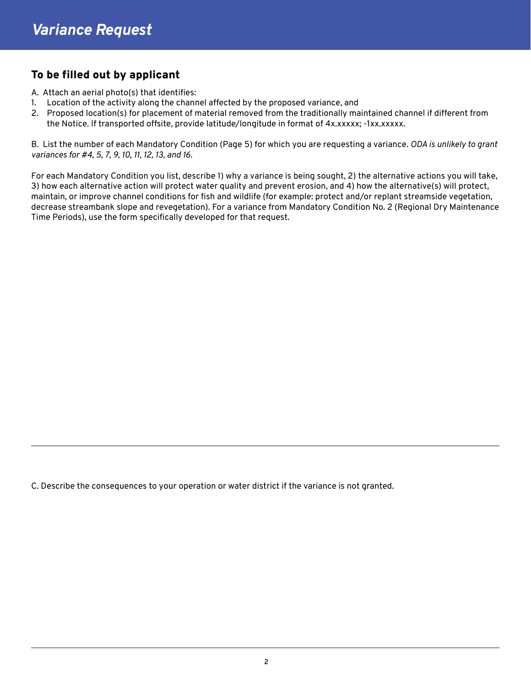## To be filled out by applicant

A. Attach an aerial photo(s) that identifies:

- 1. Location of the activity along the channel affected by the proposed variance, and
- 2. Proposed location(s) for placement of material removed from the traditionally maintained channel if different from the Notice. If transported offsite, provide latitude/longitude in format of 4x.xxxxx; -1xx.xxxxx.

B. List the number of each Mandatory Condition (Page 5) for which you are requesting a variance. *ODA is unlikely to grant variances for #4, 5, 7, 9, 10, 11, 12, 13, and 16.*

For each Mandatory Condition you list, describe 1) why a variance is being sought, 2) the alternative actions you will take, 3) how each alternative action will protect water quality and prevent erosion, and 4) how the alternative(s) will protect, maintain, or improve channel conditions for fish and wildlife (for example: protect and/or replant streamside vegetation, decrease streambank slope and revegetation). For a variance from Mandatory Condition No. 2 (Regional Dry Maintenance Time Periods), use the form specifically developed for that request.

C. Describe the consequences to your operation or water district if the variance is not granted.